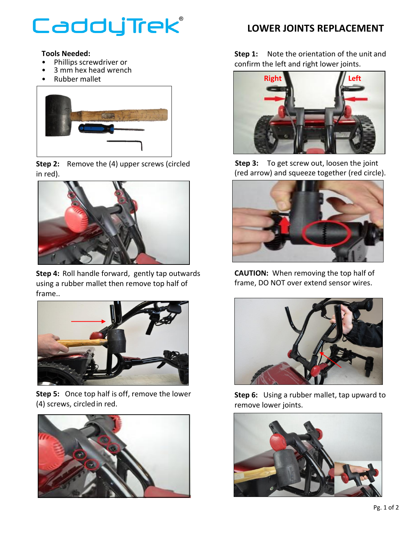## CaddyTrek®

## **Tools Needed:**

- Phillips screwdriver or
- 3 mm hex head wrench
- Rubber mallet



**Step 2:** Remove the (4) upper screws (circled in red).



**Step 4:** Roll handle forward, gently tap outwards using a rubber mallet then remove top half of frame..



**Step 5:** Once top half is off, remove the lower (4) screws, circledin red.



## **LOWER JOINTS REPLACEMENT**

**Step 1:** Note the orientation of the unit and confirm the left and right lower joints.



**Step 3:** To get screw out, loosen the joint (red arrow) and squeeze together (red circle).



**CAUTION:** When removing the top half of frame, DO NOT over extend sensor wires.



**Step 6:** Using a rubber mallet, tap upward to remove lower joints.